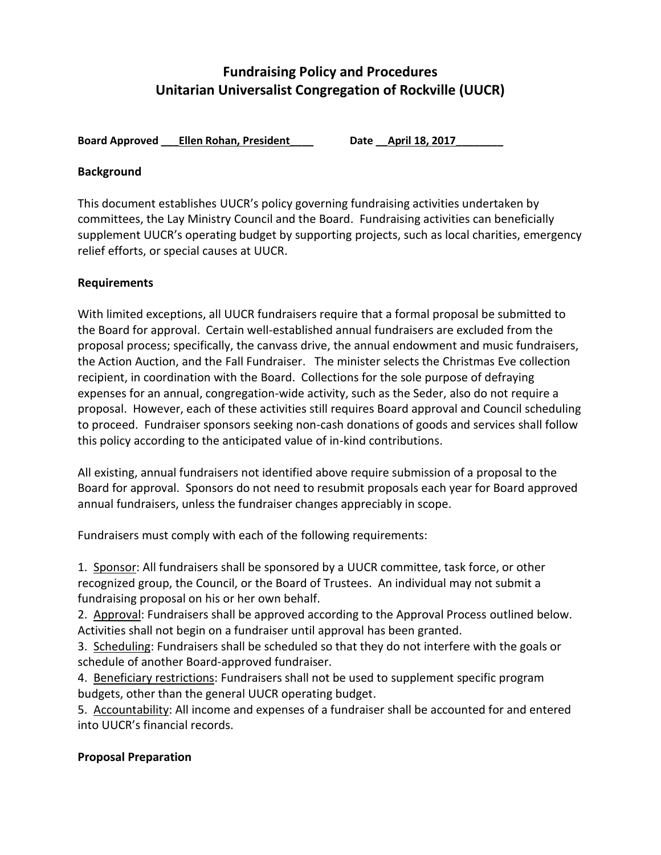# **Fundraising Policy and Procedures Unitarian Universalist Congregation of Rockville (UUCR)**

**Board Approved \_\_\_Ellen Rohan, President\_\_\_\_ Date \_\_April 18, 2017\_\_\_\_\_\_\_\_**

#### **Background**

This document establishes UUCR's policy governing fundraising activities undertaken by committees, the Lay Ministry Council and the Board. Fundraising activities can beneficially supplement UUCR's operating budget by supporting projects, such as local charities, emergency relief efforts, or special causes at UUCR.

### **Requirements**

With limited exceptions, all UUCR fundraisers require that a formal proposal be submitted to the Board for approval. Certain well-established annual fundraisers are excluded from the proposal process; specifically, the canvass drive, the annual endowment and music fundraisers, the Action Auction, and the Fall Fundraiser. The minister selects the Christmas Eve collection recipient, in coordination with the Board. Collections for the sole purpose of defraying expenses for an annual, congregation-wide activity, such as the Seder, also do not require a proposal. However, each of these activities still requires Board approval and Council scheduling to proceed. Fundraiser sponsors seeking non-cash donations of goods and services shall follow this policy according to the anticipated value of in-kind contributions.

All existing, annual fundraisers not identified above require submission of a proposal to the Board for approval. Sponsors do not need to resubmit proposals each year for Board approved annual fundraisers, unless the fundraiser changes appreciably in scope.

Fundraisers must comply with each of the following requirements:

1. Sponsor: All fundraisers shall be sponsored by a UUCR committee, task force, or other recognized group, the Council, or the Board of Trustees. An individual may not submit a fundraising proposal on his or her own behalf.

2. Approval: Fundraisers shall be approved according to the Approval Process outlined below. Activities shall not begin on a fundraiser until approval has been granted.

3. Scheduling: Fundraisers shall be scheduled so that they do not interfere with the goals or schedule of another Board-approved fundraiser.

4. Beneficiary restrictions: Fundraisers shall not be used to supplement specific program budgets, other than the general UUCR operating budget.

5. Accountability: All income and expenses of a fundraiser shall be accounted for and entered into UUCR's financial records.

### **Proposal Preparation**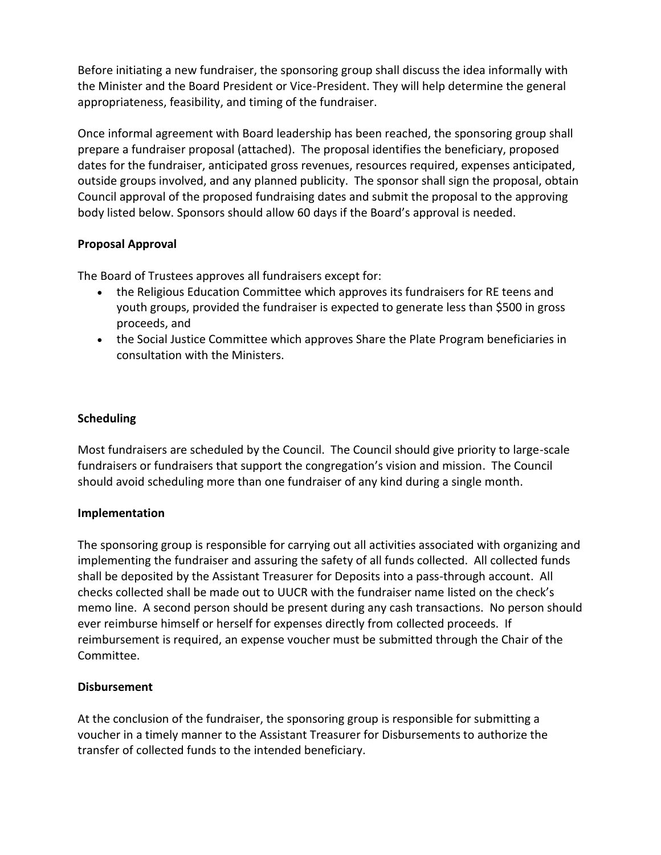Before initiating a new fundraiser, the sponsoring group shall discuss the idea informally with the Minister and the Board President or Vice-President. They will help determine the general appropriateness, feasibility, and timing of the fundraiser.

Once informal agreement with Board leadership has been reached, the sponsoring group shall prepare a fundraiser proposal (attached). The proposal identifies the beneficiary, proposed dates for the fundraiser, anticipated gross revenues, resources required, expenses anticipated, outside groups involved, and any planned publicity. The sponsor shall sign the proposal, obtain Council approval of the proposed fundraising dates and submit the proposal to the approving body listed below. Sponsors should allow 60 days if the Board's approval is needed.

#### **Proposal Approval**

The Board of Trustees approves all fundraisers except for:

- the Religious Education Committee which approves its fundraisers for RE teens and youth groups, provided the fundraiser is expected to generate less than \$500 in gross proceeds, and
- the Social Justice Committee which approves Share the Plate Program beneficiaries in consultation with the Ministers.

### **Scheduling**

Most fundraisers are scheduled by the Council. The Council should give priority to large-scale fundraisers or fundraisers that support the congregation's vision and mission. The Council should avoid scheduling more than one fundraiser of any kind during a single month.

#### **Implementation**

The sponsoring group is responsible for carrying out all activities associated with organizing and implementing the fundraiser and assuring the safety of all funds collected. All collected funds shall be deposited by the Assistant Treasurer for Deposits into a pass-through account. All checks collected shall be made out to UUCR with the fundraiser name listed on the check's memo line. A second person should be present during any cash transactions. No person should ever reimburse himself or herself for expenses directly from collected proceeds. If reimbursement is required, an expense voucher must be submitted through the Chair of the Committee.

#### **Disbursement**

At the conclusion of the fundraiser, the sponsoring group is responsible for submitting a voucher in a timely manner to the Assistant Treasurer for Disbursements to authorize the transfer of collected funds to the intended beneficiary.